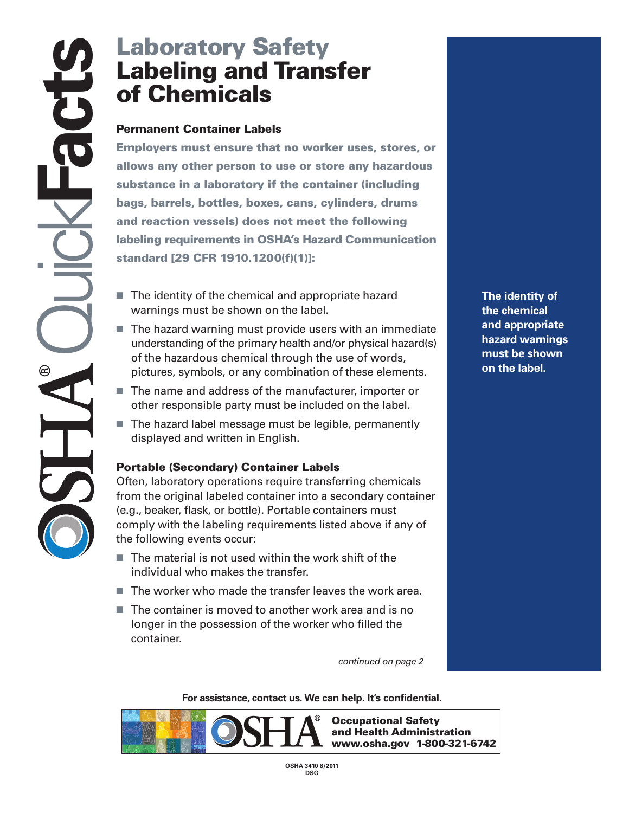# **Labeling and Transfer of Chemicals**

### **Permanent Container Labels**

**Laboratory Safety<br>
Labeling and Trans<br>
of Chemicals<br>
Permanent Container Labels<br>
Employers must ensure that no worke<br>
allows any other person to use or stor<br>
substance in a laboratory if the container<br>
bags, barrels, bott Employers must ensure that no worker uses, stores, or allows any other person to use or store any hazardous substance in a laboratory if the container (including bags, barrels, bottles, boxes, cans, cylinders, drums and reaction vessels) does not meet the following labeling requirements in OSHA's Hazard Communication standard [29 CFR 1910.1200(f)(1)]:** 

- The identity of the chemical and appropriate hazard warnings must be shown on the label.
- $\blacksquare$  The hazard warning must provide users with an immediate understanding of the primary health and/or physical hazard(s) of the hazardous chemical through the use of words, pictures, symbols, or any combination of these elements.
- The name and address of the manufacturer, importer or other responsible party must be included on the label.
- $\blacksquare$  The hazard label message must be legible, permanently displayed and written in English.

#### **Portable (Secondary) Container Labels**

Often, laboratory operations require transferring chemicals from the original labeled container into a secondary container (e.g., beaker, flask, or bottle). Portable containers must comply with the labeling requirements listed above if any of the following events occur:

- $\blacksquare$  The material is not used within the work shift of the individual who makes the transfer.
- $\blacksquare$  The worker who made the transfer leaves the work area.
- $\blacksquare$  The container is moved to another work area and is no longer in the possession of the worker who filled the container.

*continued on page 2* 

**[For assistance, contact us. We](https://Forassistance,contactus.We) can help. It's confidential.** 



**Occupational Safety and Health Administration www.osha.gov 1-800-321-6742** 

**The identity of the chemical and appropriate hazard warnings must be shown on the label.**